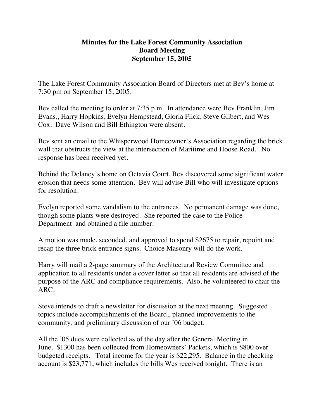## **Minutes for the Lake Forest Community Association Board Meeting September 15, 2005**

The Lake Forest Community Association Board of Directors met at Bev's home at 7:30 pm on September 15, 2005.

Bev called the meeting to order at 7:35 p.m. In attendance were Bev Franklin, Jim Evans,, Harry Hopkins, Evelyn Hempstead, Gloria Flick, Steve Gilbert, and Wes Cox. Dave Wilson and Bill Ethington were absent.

Bev sent an email to the Whisperwood Homeowner's Association regarding the brick wall that obstructs the view at the intersection of Maritime and Hoose Road. No response has been received yet.

Behind the Delaney's home on Octavia Court, Bev discovered some significant water erosion that needs some attention. Bev will advise Bill who will investigate options for resolution.

Evelyn reported some vandalism to the entrances. No permanent damage was done, though some plants were destroyed. She reported the case to the Police Department and obtained a file number.

A motion was made, seconded, and approved to spend \$2675 to repair, repoint and recap the three brick entrance signs. Choice Masonry will do the work.

Harry will mail a 2-page summary of the Architectural Review Committee and application to all residents under a cover letter so that all residents are advised of the purpose of the ARC and compliance requirements. Also, he volunteered to chair the ARC.

Steve intends to draft a newsletter for discussion at the next meeting. Suggested topics include accomplishments of the Board,, planned improvements to the community, and preliminary discussion of our '06 budget.

All the '05 dues were collected as of the day after the General Meeting in June. \$1300 has been collected from Homeowners' Packets, which is \$800 over budgeted receipts. Total income for the year is \$22,295. Balance in the checking account is \$23,771, which includes the bills Wes received tonight. There is an